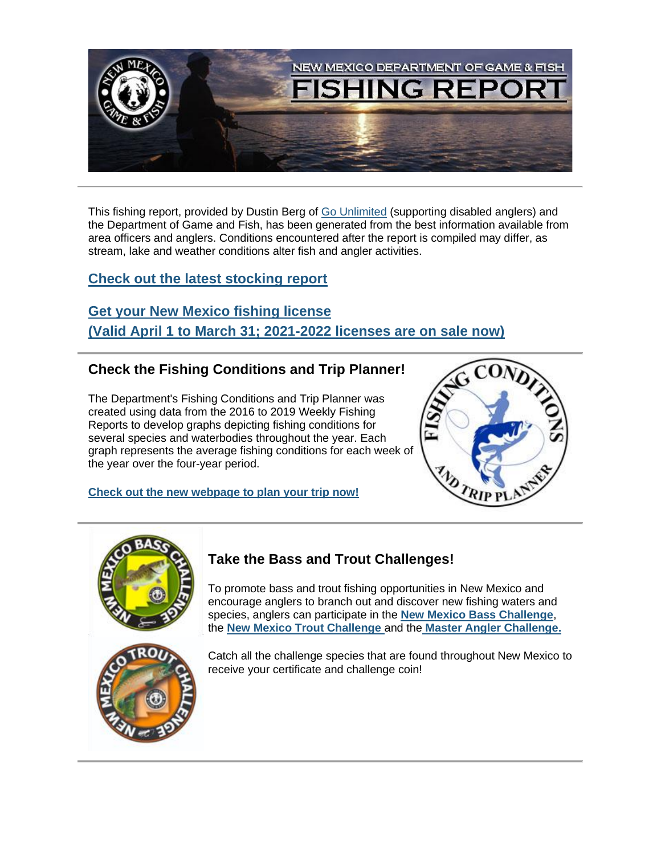

This fishing report, provided by Dustin Berg of [Go Unlimited](https://lnks.gd/l/eyJhbGciOiJIUzI1NiJ9.eyJidWxsZXRpbl9saW5rX2lkIjoxMDEsInVyaSI6ImJwMjpjbGljayIsImJ1bGxldGluX2lkIjoiMjAyMTA2MTUuNDE5Njk0OTEiLCJ1cmwiOiJodHRwczovL3d3dy5nb3VubGltaXRlZC5vcmcvIn0.vumewW0eEcX7nAhHqigKwzkvUslshnWY7P5r9t8scQY/s/112836253/br/107956077427-l) (supporting disabled anglers) and the Department of Game and Fish, has been generated from the best information available from area officers and anglers. Conditions encountered after the report is compiled may differ, as stream, lake and weather conditions alter fish and angler activities.

## **[Check out the latest stocking report](https://lnks.gd/l/eyJhbGciOiJIUzI1NiJ9.eyJidWxsZXRpbl9saW5rX2lkIjoxMDIsInVyaSI6ImJwMjpjbGljayIsImJ1bGxldGluX2lkIjoiMjAyMTA2MTUuNDE5Njk0OTEiLCJ1cmwiOiJodHRwczovL3d3dy53aWxkbGlmZS5zdGF0ZS5ubS51cy9kb3dubG9hZC9maXNoaW5nL3N0b2NraW5nL1N0b2NraW5nLVJlcG9ydC0wNl8xMV8yMS5wZGYifQ.h2FKP07u5gEl1wKbtAKBTYaMLn9DzT1ZOxelN35vHyk/s/112836253/br/107956077427-l)**

**[Get your New Mexico fishing license](https://lnks.gd/l/eyJhbGciOiJIUzI1NiJ9.eyJidWxsZXRpbl9saW5rX2lkIjoxMDMsInVyaSI6ImJwMjpjbGljayIsImJ1bGxldGluX2lkIjoiMjAyMTA2MTUuNDE5Njk0OTEiLCJ1cmwiOiJodHRwczovL29ubGluZXNhbGVzLndpbGRsaWZlLnN0YXRlLm5tLnVzLyJ9.2bsfgpIOoW7DQAyz--85N_PWe-nn9Khhc0DnwHT-qOQ/s/112836253/br/107956077427-l) [\(Valid April 1 to March 31; 2021-2022 licenses are on sale now](https://lnks.gd/l/eyJhbGciOiJIUzI1NiJ9.eyJidWxsZXRpbl9saW5rX2lkIjoxMDQsInVyaSI6ImJwMjpjbGljayIsImJ1bGxldGluX2lkIjoiMjAyMTA2MTUuNDE5Njk0OTEiLCJ1cmwiOiJodHRwczovL29ubGluZXNhbGVzLndpbGRsaWZlLnN0YXRlLm5tLnVzLyJ9.SFgbA_SVU9HQhMHVyrDJBop4q3_N1I5gze0B1ulokUs/s/112836253/br/107956077427-l)[\)](https://lnks.gd/l/eyJhbGciOiJIUzI1NiJ9.eyJidWxsZXRpbl9saW5rX2lkIjoxMDUsInVyaSI6ImJwMjpjbGljayIsImJ1bGxldGluX2lkIjoiMjAyMTA2MTUuNDE5Njk0OTEiLCJ1cmwiOiJodHRwczovL29ubGluZXNhbGVzLndpbGRsaWZlLnN0YXRlLm5tLnVzLyJ9.iwVoySdHqTZ-NrpMn_dtwQ56mAVhrUOJRe4fdAXwc-Q/s/112836253/br/107956077427-l)**

## **Check the Fishing Conditions and Trip Planner!**

The Department's Fishing Conditions and Trip Planner was created using data from the 2016 to 2019 Weekly Fishing Reports to develop graphs depicting fishing conditions for several species and waterbodies throughout the year. Each graph represents the average fishing conditions for each week of the year over the four-year period.

**[Check out the new webpage to plan your trip now!](https://lnks.gd/l/eyJhbGciOiJIUzI1NiJ9.eyJidWxsZXRpbl9saW5rX2lkIjoxMDYsInVyaSI6ImJwMjpjbGljayIsImJ1bGxldGluX2lkIjoiMjAyMTA2MTUuNDE5Njk0OTEiLCJ1cmwiOiJodHRwOi8vd3d3LndpbGRsaWZlLnN0YXRlLm5tLnVzL2Zpc2hpbmcvZmlzaGluZy1jb25kaXRpb25zLXRyaXAtcGxhbm5lci8ifQ.Mh7WSHJQsgs5-4F-cXjitQZKRB6MmHOdBLUYtVEBcJw/s/112836253/br/107956077427-l)**





# **Take the Bass and Trout Challenges!**

To promote bass and trout fishing opportunities in New Mexico and encourage anglers to branch out and discover new fishing waters and species, anglers can participate in the **[New Mexico Bass Challenge](https://lnks.gd/l/eyJhbGciOiJIUzI1NiJ9.eyJidWxsZXRpbl9saW5rX2lkIjoxMDksInVyaSI6ImJwMjpjbGljayIsImJ1bGxldGluX2lkIjoiMjAyMTA2MTUuNDE5Njk0OTEiLCJ1cmwiOiJodHRwczovL3d3dy53aWxkbGlmZS5zdGF0ZS5ubS51cy9maXNoaW5nL2Zpc2hpbmctY2hhbGxlbmdlcy9ubWJjLyJ9.NUFdbuR8i_2TC_bC9SrYaFG9INs7UseqleNDRY7MDKI/s/112836253/br/107956077427-l)**, the **[New Mexico Trout Challenge](https://lnks.gd/l/eyJhbGciOiJIUzI1NiJ9.eyJidWxsZXRpbl9saW5rX2lkIjoxMTAsInVyaSI6ImJwMjpjbGljayIsImJ1bGxldGluX2lkIjoiMjAyMTA2MTUuNDE5Njk0OTEiLCJ1cmwiOiJodHRwczovL3d3dy53aWxkbGlmZS5zdGF0ZS5ubS51cy9maXNoaW5nL2Zpc2hpbmctY2hhbGxlbmdlcy9ubXRjLyJ9.GUTE-ZKYI9XA_sj8ue0SUSC4yXay0a5YmxWsoObEtCM/s/112836253/br/107956077427-l)** and the **[Master Angler Challenge.](https://lnks.gd/l/eyJhbGciOiJIUzI1NiJ9.eyJidWxsZXRpbl9saW5rX2lkIjoxMTEsInVyaSI6ImJwMjpjbGljayIsImJ1bGxldGluX2lkIjoiMjAyMTA2MTUuNDE5Njk0OTEiLCJ1cmwiOiJodHRwczovL3d3dy53aWxkbGlmZS5zdGF0ZS5ubS51cy9maXNoaW5nL2Zpc2hpbmctY2hhbGxlbmdlcy9uZXctbWV4aWNvLW1hc3Rlci1hbmdsZXIvIn0.089S-5dkqUj8V6Zhi0PA3Iymcpdt5JLgQVhV3NUi_tw/s/112836253/br/107956077427-l)**

Catch all the challenge species that are found throughout New Mexico to receive your certificate and challenge coin!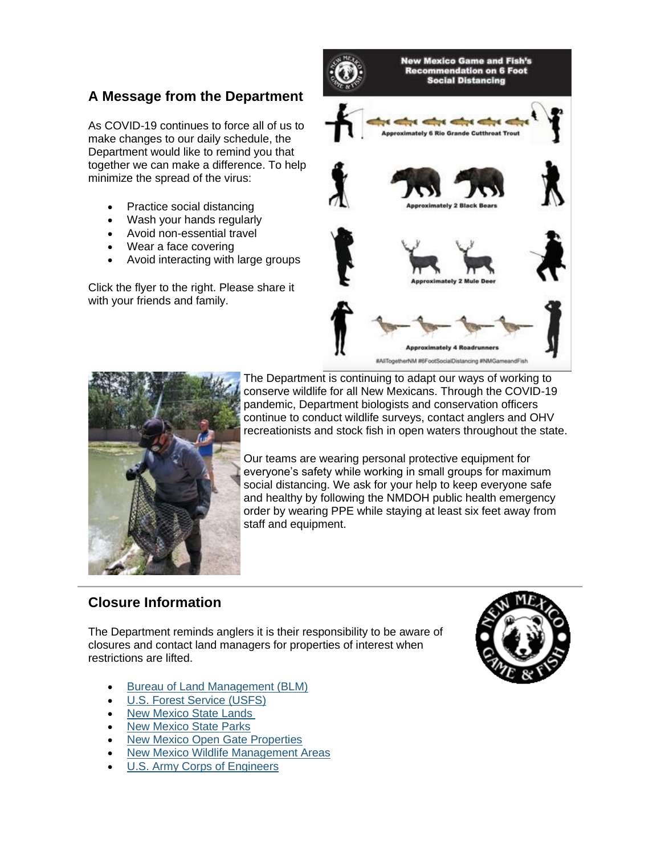# **A Message from the Department**

As COVID-19 continues to force all of us to make changes to our daily schedule, the Department would like to remind you that together we can make a difference. To help minimize the spread of the virus:

- Practice social distancing
- Wash your hands regularly
- Avoid non-essential travel
- Wear a face covering
- Avoid interacting with large groups

Click the flyer to the right. Please share it with your friends and family.





The Department is continuing to adapt our ways of working to conserve wildlife for all New Mexicans. Through the COVID-19 pandemic, Department biologists and conservation officers continue to conduct wildlife surveys, contact anglers and OHV recreationists and stock fish in open waters throughout the state.

Our teams are wearing personal protective equipment for everyone's safety while working in small groups for maximum social distancing. We ask for your help to keep everyone safe and healthy by following the NMDOH public health emergency order by wearing PPE while staying at least six feet away from staff and equipment.

### **Closure Information**

The Department reminds anglers it is their responsibility to be aware of closures and contact land managers for properties of interest when restrictions are lifted.

- [Bureau of Land Management \(BLM\)](https://lnks.gd/l/eyJhbGciOiJIUzI1NiJ9.eyJidWxsZXRpbl9saW5rX2lkIjoxMTMsInVyaSI6ImJwMjpjbGljayIsImJ1bGxldGluX2lkIjoiMjAyMTA2MTUuNDE5Njk0OTEiLCJ1cmwiOiJodHRwczovL3d3dy5ibG0uZ292L25ldy1tZXhpY28ifQ.9X1KylORi3fkBxfrUBpmIRtfEU_u_uPlBdHUXICaF7E/s/112836253/br/107956077427-l)
- [U.S. Forest Service \(USFS\)](https://lnks.gd/l/eyJhbGciOiJIUzI1NiJ9.eyJidWxsZXRpbl9saW5rX2lkIjoxMTUsInVyaSI6ImJwMjpjbGljayIsImJ1bGxldGluX2lkIjoiMjAyMTA2MTUuNDE5Njk0OTEiLCJ1cmwiOiJodHRwczovL3d3dy5mcy51c2RhLmdvdi9hYm91dC1hZ2VuY3kvY292aWQxOS11cGRhdGVzIn0.thi5vF7gv8rKDLwweKfVjo_W6fVWYZSarfFAK0qpIlg/s/112836253/br/107956077427-l)
- **[New Mexico State Lands](https://lnks.gd/l/eyJhbGciOiJIUzI1NiJ9.eyJidWxsZXRpbl9saW5rX2lkIjoxMTYsInVyaSI6ImJwMjpjbGljayIsImJ1bGxldGluX2lkIjoiMjAyMTA2MTUuNDE5Njk0OTEiLCJ1cmwiOiJodHRwczovL3d3dy5ubXN0YXRlbGFuZHMub3JnLyJ9.pLGsGkoTMQNu0w5JS_dkkuX2jyf-ndq-M0iOUTxMyEQ/s/112836253/br/107956077427-l)**
- **[New Mexico State Parks](https://lnks.gd/l/eyJhbGciOiJIUzI1NiJ9.eyJidWxsZXRpbl9saW5rX2lkIjoxMTcsInVyaSI6ImJwMjpjbGljayIsImJ1bGxldGluX2lkIjoiMjAyMTA2MTUuNDE5Njk0OTEiLCJ1cmwiOiJodHRwOi8vd3d3LmVtbnJkLnN0YXRlLm5tLnVzL1NQRC8ifQ.LyLS4JmobrHxipk9jBRd0LsrdWTToAI9AiBGl9A42KM/s/112836253/br/107956077427-l)**
- [New Mexico Open Gate Properties](https://lnks.gd/l/eyJhbGciOiJIUzI1NiJ9.eyJidWxsZXRpbl9saW5rX2lkIjoxMTgsInVyaSI6ImJwMjpjbGljayIsImJ1bGxldGluX2lkIjoiMjAyMTA2MTUuNDE5Njk0OTEiLCJ1cmwiOiJodHRwOi8vd3d3LndpbGRsaWZlLnN0YXRlLm5tLnVzL2h1bnRpbmcvbWFwcy9vcGVuLWdhdGUtcHJvZ3JhbS8ifQ.9HNdYdHARYSaufGIZg8Hx33BE8k_q13Ff-pm3MPIMpo/s/112836253/br/107956077427-l)
- [New Mexico Wildlife Management Areas](https://lnks.gd/l/eyJhbGciOiJIUzI1NiJ9.eyJidWxsZXRpbl9saW5rX2lkIjoxMTksInVyaSI6ImJwMjpjbGljayIsImJ1bGxldGluX2lkIjoiMjAyMTA2MTUuNDE5Njk0OTEiLCJ1cmwiOiJodHRwOi8vd3d3LndpbGRsaWZlLnN0YXRlLm5tLnVzL2NvbnNlcnZhdGlvbi9zdGF0ZS1nYW1lLWNvbW1pc3Npb24tbGFuZHMvIn0.g_tbAvwXjPeXqIPJFYBJdg4gwIib0vw3GlAWIv5Eebc/s/112836253/br/107956077427-l)
- [U.S. Army Corps of Engineers](https://lnks.gd/l/eyJhbGciOiJIUzI1NiJ9.eyJidWxsZXRpbl9saW5rX2lkIjoxMjAsInVyaSI6ImJwMjpjbGljayIsImJ1bGxldGluX2lkIjoiMjAyMTA2MTUuNDE5Njk0OTEiLCJ1cmwiOiJodHRwczovL2NvcnBzbGFrZXMuZXJkYy5kcmVuLm1pbC92aXNpdG9ycy9zdGF0ZXMuY2ZtP3N0YXRlPU5NIn0.CsoqFNWFXbbesdJ83qIRUnUvL6s9sPVAGC1grtKRP6s/s/112836253/br/107956077427-l)

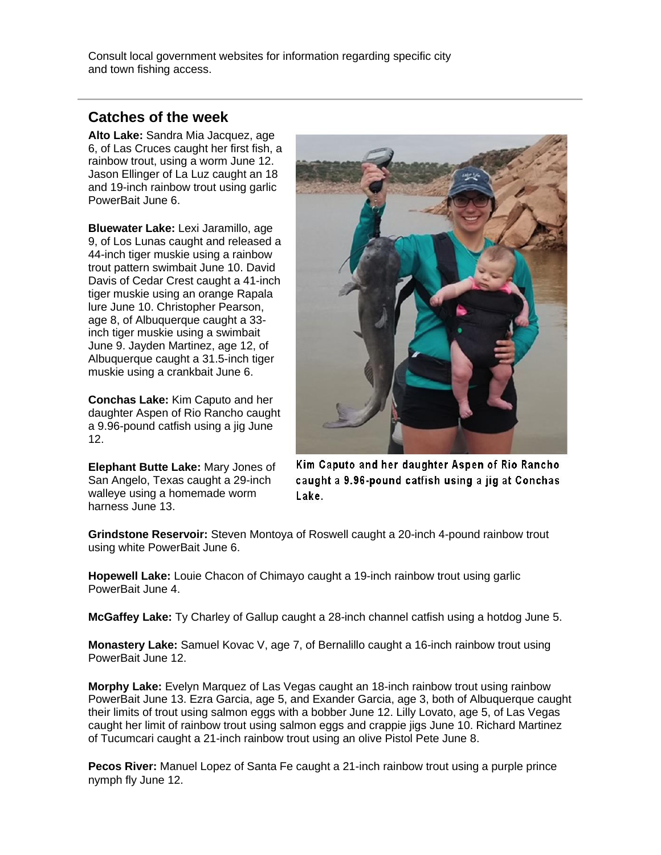Consult local government websites for information regarding specific city and town fishing access.

### **Catches of the week**

**Alto Lake:** Sandra Mia Jacquez, age 6, of Las Cruces caught her first fish, a rainbow trout, using a worm June 12. Jason Ellinger of La Luz caught an 18 and 19-inch rainbow trout using garlic PowerBait June 6.

**Bluewater Lake:** Lexi Jaramillo, age 9, of Los Lunas caught and released a 44-inch tiger muskie using a rainbow trout pattern swimbait June 10. David Davis of Cedar Crest caught a 41-inch tiger muskie using an orange Rapala lure June 10. Christopher Pearson, age 8, of Albuquerque caught a 33 inch tiger muskie using a swimbait June 9. Jayden Martinez, age 12, of Albuquerque caught a 31.5-inch tiger muskie using a crankbait June 6.

**Conchas Lake:** Kim Caputo and her daughter Aspen of Rio Rancho caught a 9.96-pound catfish using a jig June 12.

**Elephant Butte Lake:** Mary Jones of San Angelo, Texas caught a 29-inch walleye using a homemade worm harness June 13.



Kim Caputo and her daughter Aspen of Rio Rancho caught a 9.96-pound catfish using a jig at Conchas Lake.

**Grindstone Reservoir:** Steven Montoya of Roswell caught a 20-inch 4-pound rainbow trout using white PowerBait June 6.

**Hopewell Lake:** Louie Chacon of Chimayo caught a 19-inch rainbow trout using garlic PowerBait June 4.

**McGaffey Lake:** Ty Charley of Gallup caught a 28-inch channel catfish using a hotdog June 5.

**Monastery Lake:** Samuel Kovac V, age 7, of Bernalillo caught a 16-inch rainbow trout using PowerBait June 12.

**Morphy Lake:** Evelyn Marquez of Las Vegas caught an 18-inch rainbow trout using rainbow PowerBait June 13. Ezra Garcia, age 5, and Exander Garcia, age 3, both of Albuquerque caught their limits of trout using salmon eggs with a bobber June 12. Lilly Lovato, age 5, of Las Vegas caught her limit of rainbow trout using salmon eggs and crappie jigs June 10. Richard Martinez of Tucumcari caught a 21-inch rainbow trout using an olive Pistol Pete June 8.

**Pecos River:** Manuel Lopez of Santa Fe caught a 21-inch rainbow trout using a purple prince nymph fly June 12.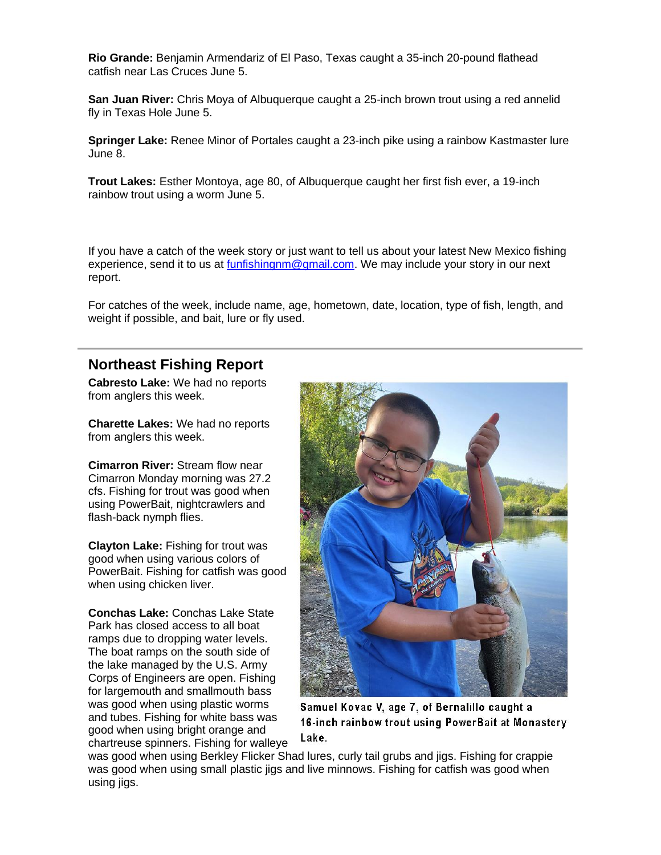**Rio Grande:** Benjamin Armendariz of El Paso, Texas caught a 35-inch 20-pound flathead catfish near Las Cruces June 5.

**San Juan River:** Chris Moya of Albuquerque caught a 25-inch brown trout using a red annelid fly in Texas Hole June 5.

**Springer Lake:** Renee Minor of Portales caught a 23-inch pike using a rainbow Kastmaster lure June 8.

**Trout Lakes:** Esther Montoya, age 80, of Albuquerque caught her first fish ever, a 19-inch rainbow trout using a worm June 5.

If you have a catch of the week story or just want to tell us about your latest New Mexico fishing experience, send it to us at [funfishingnm@gmail.com.](mailto:funfishingnm@gmail.com) We may include your story in our next report.

For catches of the week, include name, age, hometown, date, location, type of fish, length, and weight if possible, and bait, lure or fly used.

### **Northeast Fishing Report**

**Cabresto Lake:** We had no reports from anglers this week.

**Charette Lakes:** We had no reports from anglers this week.

**Cimarron River:** Stream flow near Cimarron Monday morning was 27.2 cfs. Fishing for trout was good when using PowerBait, nightcrawlers and flash-back nymph flies.

**Clayton Lake:** Fishing for trout was good when using various colors of PowerBait. Fishing for catfish was good when using chicken liver.

**Conchas Lake:** Conchas Lake State Park has closed access to all boat ramps due to dropping water levels. The boat ramps on the south side of the lake managed by the U.S. Army Corps of Engineers are open. Fishing for largemouth and smallmouth bass was good when using plastic worms and tubes. Fishing for white bass was good when using bright orange and chartreuse spinners. Fishing for walleye



Samuel Kovac V, age 7, of Bernalillo caught a 16-inch rainbow trout using PowerBait at Monastery Lake.

was good when using Berkley Flicker Shad lures, curly tail grubs and jigs. Fishing for crappie was good when using small plastic jigs and live minnows. Fishing for catfish was good when using jigs.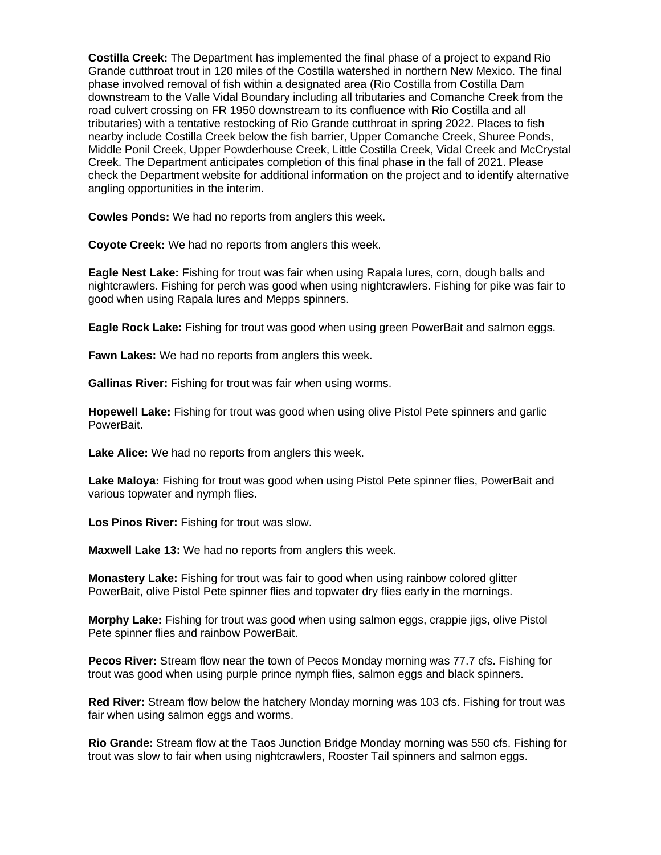**Costilla Creek:** The Department has implemented the final phase of a project to expand Rio Grande cutthroat trout in 120 miles of the Costilla watershed in northern New Mexico. The final phase involved removal of fish within a designated area (Rio Costilla from Costilla Dam downstream to the Valle Vidal Boundary including all tributaries and Comanche Creek from the road culvert crossing on FR 1950 downstream to its confluence with Rio Costilla and all tributaries) with a tentative restocking of Rio Grande cutthroat in spring 2022. Places to fish nearby include Costilla Creek below the fish barrier, Upper Comanche Creek, Shuree Ponds, Middle Ponil Creek, Upper Powderhouse Creek, Little Costilla Creek, Vidal Creek and McCrystal Creek. The Department anticipates completion of this final phase in the fall of 2021. Please check the Department website for additional information on the project and to identify alternative angling opportunities in the interim.

**Cowles Ponds:** We had no reports from anglers this week.

**Coyote Creek:** We had no reports from anglers this week.

**Eagle Nest Lake:** Fishing for trout was fair when using Rapala lures, corn, dough balls and nightcrawlers. Fishing for perch was good when using nightcrawlers. Fishing for pike was fair to good when using Rapala lures and Mepps spinners.

**Eagle Rock Lake:** Fishing for trout was good when using green PowerBait and salmon eggs.

**Fawn Lakes:** We had no reports from anglers this week.

**Gallinas River:** Fishing for trout was fair when using worms.

**Hopewell Lake:** Fishing for trout was good when using olive Pistol Pete spinners and garlic PowerBait.

**Lake Alice:** We had no reports from anglers this week.

**Lake Maloya:** Fishing for trout was good when using Pistol Pete spinner flies, PowerBait and various topwater and nymph flies.

**Los Pinos River:** Fishing for trout was slow.

**Maxwell Lake 13:** We had no reports from anglers this week.

**Monastery Lake:** Fishing for trout was fair to good when using rainbow colored glitter PowerBait, olive Pistol Pete spinner flies and topwater dry flies early in the mornings.

**Morphy Lake:** Fishing for trout was good when using salmon eggs, crappie jigs, olive Pistol Pete spinner flies and rainbow PowerBait.

**Pecos River:** Stream flow near the town of Pecos Monday morning was 77.7 cfs. Fishing for trout was good when using purple prince nymph flies, salmon eggs and black spinners.

**Red River:** Stream flow below the hatchery Monday morning was 103 cfs. Fishing for trout was fair when using salmon eggs and worms.

**Rio Grande:** Stream flow at the Taos Junction Bridge Monday morning was 550 cfs. Fishing for trout was slow to fair when using nightcrawlers, Rooster Tail spinners and salmon eggs.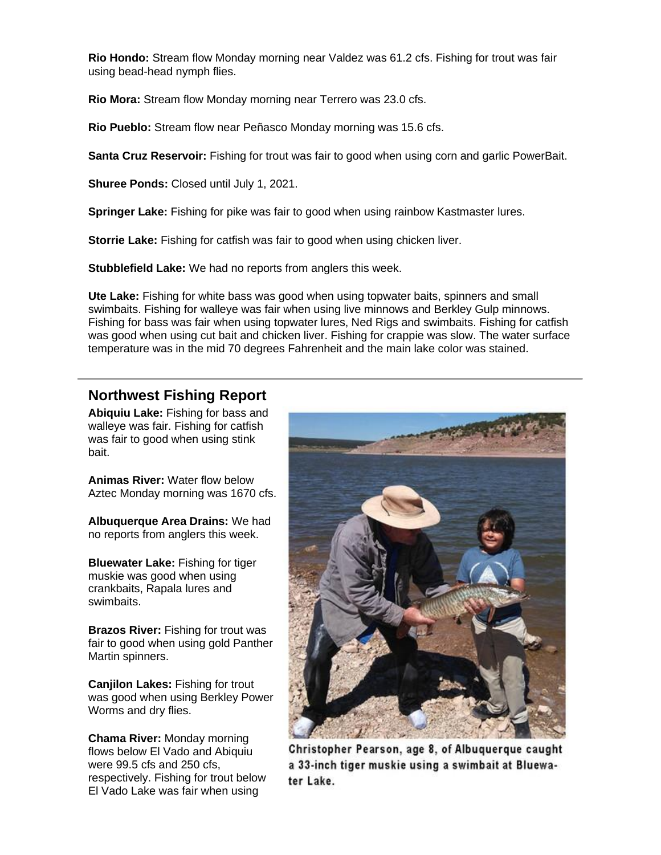**Rio Hondo:** Stream flow Monday morning near Valdez was 61.2 cfs. Fishing for trout was fair using bead-head nymph flies.

**Rio Mora:** Stream flow Monday morning near Terrero was 23.0 cfs.

**Rio Pueblo:** Stream flow near Peñasco Monday morning was 15.6 cfs.

**Santa Cruz Reservoir:** Fishing for trout was fair to good when using corn and garlic PowerBait.

**Shuree Ponds:** Closed until July 1, 2021.

**Springer Lake:** Fishing for pike was fair to good when using rainbow Kastmaster lures.

**Storrie Lake:** Fishing for catfish was fair to good when using chicken liver.

**Stubblefield Lake:** We had no reports from anglers this week.

**Ute Lake:** Fishing for white bass was good when using topwater baits, spinners and small swimbaits. Fishing for walleye was fair when using live minnows and Berkley Gulp minnows. Fishing for bass was fair when using topwater lures, Ned Rigs and swimbaits. Fishing for catfish was good when using cut bait and chicken liver. Fishing for crappie was slow. The water surface temperature was in the mid 70 degrees Fahrenheit and the main lake color was stained.

### **Northwest Fishing Report**

**Abiquiu Lake:** Fishing for bass and walleye was fair. Fishing for catfish was fair to good when using stink bait.

**Animas River:** Water flow below Aztec Monday morning was 1670 cfs.

**Albuquerque Area Drains:** We had no reports from anglers this week.

**Bluewater Lake:** Fishing for tiger muskie was good when using crankbaits, Rapala lures and swimbaits.

**Brazos River:** Fishing for trout was fair to good when using gold Panther Martin spinners.

**Canjilon Lakes:** Fishing for trout was good when using Berkley Power Worms and dry flies.

**Chama River:** Monday morning flows below El Vado and Abiquiu were 99.5 cfs and 250 cfs, respectively. Fishing for trout below El Vado Lake was fair when using



Christopher Pearson, age 8, of Albuquerque caught a 33-inch tiger muskie using a swimbait at Bluewater Lake.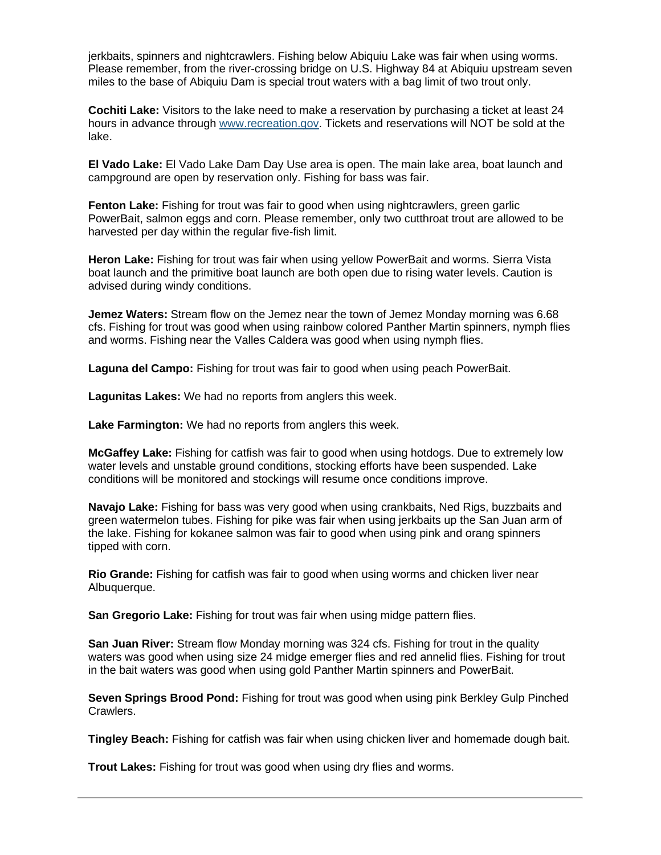jerkbaits, spinners and nightcrawlers. Fishing below Abiquiu Lake was fair when using worms. Please remember, from the river-crossing bridge on U.S. Highway 84 at Abiquiu upstream seven miles to the base of Abiquiu Dam is special trout waters with a bag limit of two trout only.

**Cochiti Lake:** Visitors to the lake need to make a reservation by purchasing a ticket at least 24 hours in advance through [www.recreation.gov.](https://lnks.gd/l/eyJhbGciOiJIUzI1NiJ9.eyJidWxsZXRpbl9saW5rX2lkIjoxMjIsInVyaSI6ImJwMjpjbGljayIsImJ1bGxldGluX2lkIjoiMjAyMTA2MTUuNDE5Njk0OTEiLCJ1cmwiOiJodHRwOi8vd3d3LnJlY3JlYXRpb24uZ292LyJ9.IYwitNKFnozLCMeVQxQjqPnTxhvCa8y6EsfRPIyZ1QY/s/112836253/br/107956077427-l) Tickets and reservations will NOT be sold at the lake.

**El Vado Lake:** El Vado Lake Dam Day Use area is open. The main lake area, boat launch and campground are open by reservation only. Fishing for bass was fair.

**Fenton Lake:** Fishing for trout was fair to good when using nightcrawlers, green garlic PowerBait, salmon eggs and corn. Please remember, only two cutthroat trout are allowed to be harvested per day within the regular five-fish limit.

**Heron Lake:** Fishing for trout was fair when using yellow PowerBait and worms. Sierra Vista boat launch and the primitive boat launch are both open due to rising water levels. Caution is advised during windy conditions.

**Jemez Waters:** Stream flow on the Jemez near the town of Jemez Monday morning was 6.68 cfs. Fishing for trout was good when using rainbow colored Panther Martin spinners, nymph flies and worms. Fishing near the Valles Caldera was good when using nymph flies.

**Laguna del Campo:** Fishing for trout was fair to good when using peach PowerBait.

**Lagunitas Lakes:** We had no reports from anglers this week.

**Lake Farmington:** We had no reports from anglers this week.

**McGaffey Lake:** Fishing for catfish was fair to good when using hotdogs. Due to extremely low water levels and unstable ground conditions, stocking efforts have been suspended. Lake conditions will be monitored and stockings will resume once conditions improve.

**Navajo Lake:** Fishing for bass was very good when using crankbaits, Ned Rigs, buzzbaits and green watermelon tubes. Fishing for pike was fair when using jerkbaits up the San Juan arm of the lake. Fishing for kokanee salmon was fair to good when using pink and orang spinners tipped with corn.

**Rio Grande:** Fishing for catfish was fair to good when using worms and chicken liver near Albuquerque.

**San Gregorio Lake:** Fishing for trout was fair when using midge pattern flies.

**San Juan River:** Stream flow Monday morning was 324 cfs. Fishing for trout in the quality waters was good when using size 24 midge emerger flies and red annelid flies. Fishing for trout in the bait waters was good when using gold Panther Martin spinners and PowerBait.

**Seven Springs Brood Pond:** Fishing for trout was good when using pink Berkley Gulp Pinched Crawlers.

**Tingley Beach:** Fishing for catfish was fair when using chicken liver and homemade dough bait.

**Trout Lakes:** Fishing for trout was good when using dry flies and worms.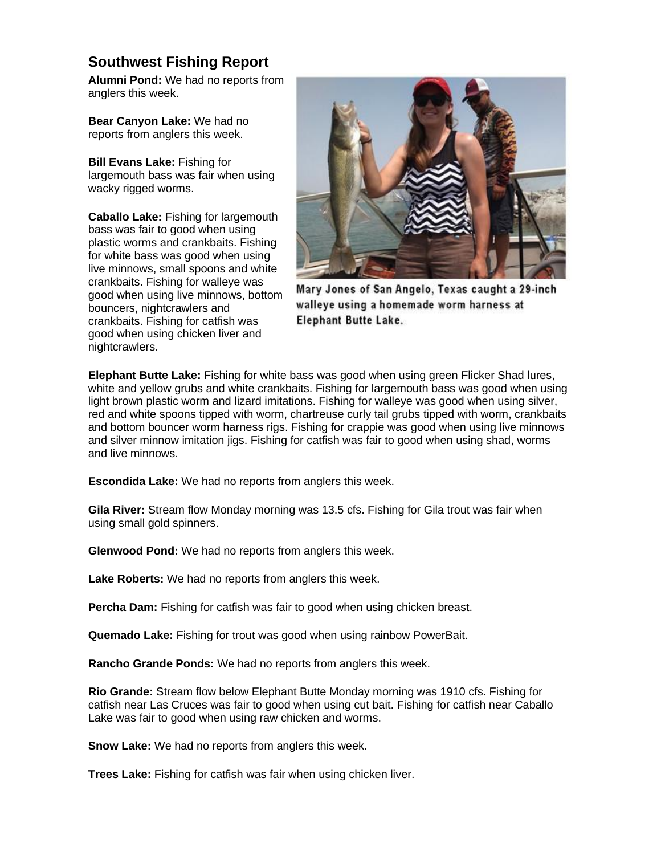## **Southwest Fishing Report**

**Alumni Pond:** We had no reports from anglers this week.

**Bear Canyon Lake:** We had no reports from anglers this week.

**Bill Evans Lake:** Fishing for largemouth bass was fair when using wacky rigged worms.

**Caballo Lake:** Fishing for largemouth bass was fair to good when using plastic worms and crankbaits. Fishing for white bass was good when using live minnows, small spoons and white crankbaits. Fishing for walleye was good when using live minnows, bottom bouncers, nightcrawlers and crankbaits. Fishing for catfish was good when using chicken liver and nightcrawlers.



Mary Jones of San Angelo, Texas caught a 29-inch walleye using a homemade worm harness at **Elephant Butte Lake.** 

**Elephant Butte Lake:** Fishing for white bass was good when using green Flicker Shad lures, white and yellow grubs and white crankbaits. Fishing for largemouth bass was good when using light brown plastic worm and lizard imitations. Fishing for walleye was good when using silver, red and white spoons tipped with worm, chartreuse curly tail grubs tipped with worm, crankbaits and bottom bouncer worm harness rigs. Fishing for crappie was good when using live minnows and silver minnow imitation jigs. Fishing for catfish was fair to good when using shad, worms and live minnows.

**Escondida Lake:** We had no reports from anglers this week.

**Gila River:** Stream flow Monday morning was 13.5 cfs. Fishing for Gila trout was fair when using small gold spinners.

**Glenwood Pond:** We had no reports from anglers this week.

**Lake Roberts:** We had no reports from anglers this week.

**Percha Dam:** Fishing for catfish was fair to good when using chicken breast.

**Quemado Lake:** Fishing for trout was good when using rainbow PowerBait.

**Rancho Grande Ponds:** We had no reports from anglers this week.

**Rio Grande:** Stream flow below Elephant Butte Monday morning was 1910 cfs. Fishing for catfish near Las Cruces was fair to good when using cut bait. Fishing for catfish near Caballo Lake was fair to good when using raw chicken and worms.

**Snow Lake:** We had no reports from anglers this week.

**Trees Lake:** Fishing for catfish was fair when using chicken liver.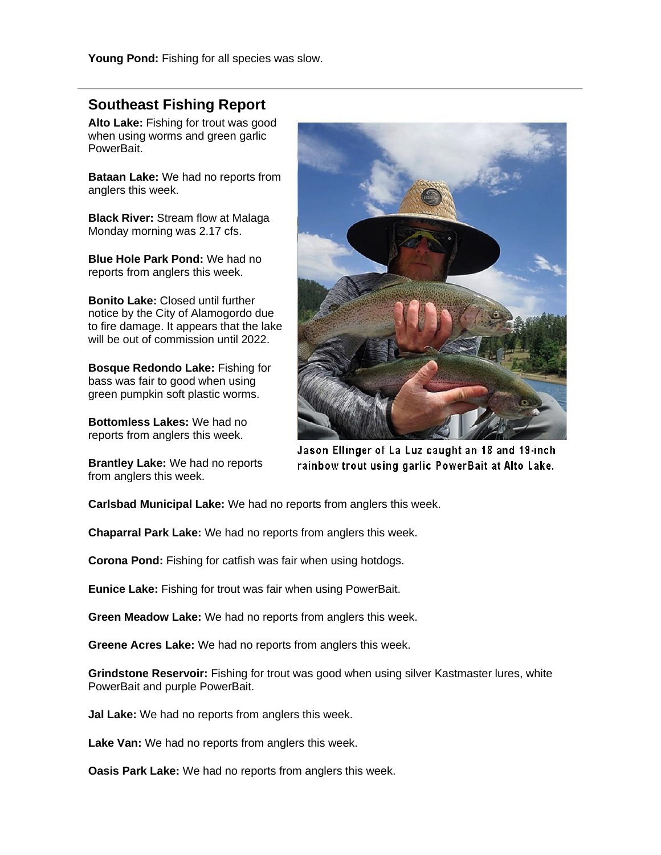**Young Pond:** Fishing for all species was slow.

### **Southeast Fishing Report**

**Alto Lake:** Fishing for trout was good when using worms and green garlic PowerBait.

**Bataan Lake:** We had no reports from anglers this week.

**Black River:** Stream flow at Malaga Monday morning was 2.17 cfs.

**Blue Hole Park Pond:** We had no reports from anglers this week.

**Bonito Lake:** Closed until further notice by the City of Alamogordo due to fire damage. It appears that the lake will be out of commission until 2022.

**Bosque Redondo Lake:** Fishing for bass was fair to good when using green pumpkin soft plastic worms.

**Bottomless Lakes:** We had no reports from anglers this week.

**Brantley Lake:** We had no reports from anglers this week.



Jason Ellinger of La Luz caught an 18 and 19-inch rainbow trout using garlic PowerBait at Alto Lake.

**Carlsbad Municipal Lake:** We had no reports from anglers this week.

**Chaparral Park Lake:** We had no reports from anglers this week.

**Corona Pond:** Fishing for catfish was fair when using hotdogs.

**Eunice Lake:** Fishing for trout was fair when using PowerBait.

**Green Meadow Lake:** We had no reports from anglers this week.

**Greene Acres Lake:** We had no reports from anglers this week.

**Grindstone Reservoir:** Fishing for trout was good when using silver Kastmaster lures, white PowerBait and purple PowerBait.

**Jal Lake:** We had no reports from anglers this week.

**Lake Van:** We had no reports from anglers this week.

**Oasis Park Lake:** We had no reports from anglers this week.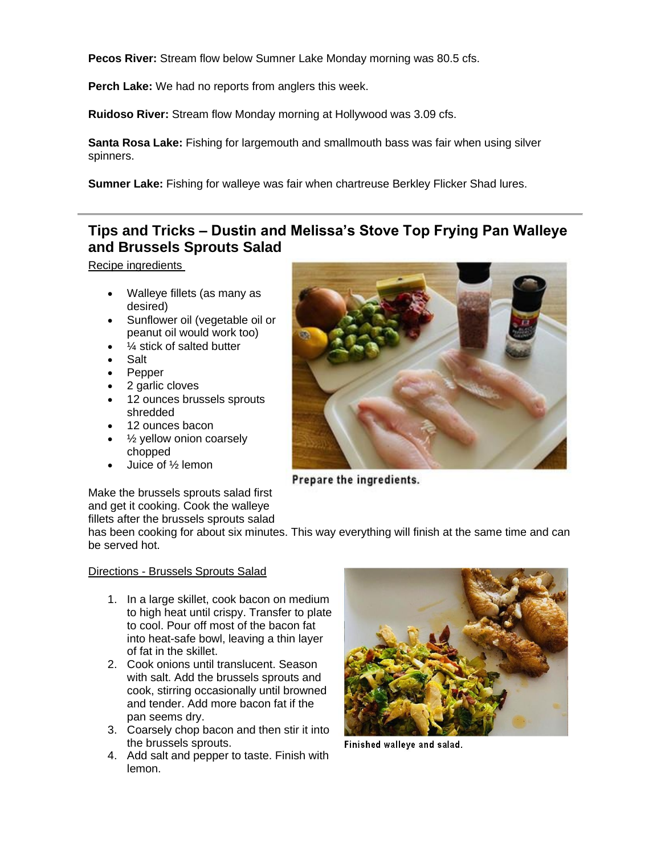**Pecos River:** Stream flow below Sumner Lake Monday morning was 80.5 cfs.

**Perch Lake:** We had no reports from anglers this week.

**Ruidoso River:** Stream flow Monday morning at Hollywood was 3.09 cfs.

**Santa Rosa Lake:** Fishing for largemouth and smallmouth bass was fair when using silver spinners.

**Sumner Lake:** Fishing for walleye was fair when chartreuse Berkley Flicker Shad lures.

# **Tips and Tricks – Dustin and Melissa's Stove Top Frying Pan Walleye and Brussels Sprouts Salad**

Recipe ingredients

- Walleye fillets (as many as desired)
- Sunflower oil (vegetable oil or peanut oil would work too)
- 1/4 stick of salted butter
- Salt
- Pepper
- 2 garlic cloves
- 12 ounces brussels sprouts shredded
- 12 ounces bacon
- $\frac{1}{2}$  yellow onion coarsely chopped
- Juice of ½ lemon



Prepare the ingredients.

Make the brussels sprouts salad first and get it cooking. Cook the walleye fillets after the brussels sprouts salad

has been cooking for about six minutes. This way everything will finish at the same time and can be served hot.

#### Directions - Brussels Sprouts Salad

- 1. In a large skillet, cook bacon on medium to high heat until crispy. Transfer to plate to cool. Pour off most of the bacon fat into heat-safe bowl, leaving a thin layer of fat in the skillet.
- 2. Cook onions until translucent. Season with salt. Add the brussels sprouts and cook, stirring occasionally until browned and tender. Add more bacon fat if the pan seems dry.
- 3. Coarsely chop bacon and then stir it into the brussels sprouts.
- 4. Add salt and pepper to taste. Finish with lemon.



Finished walleye and salad.